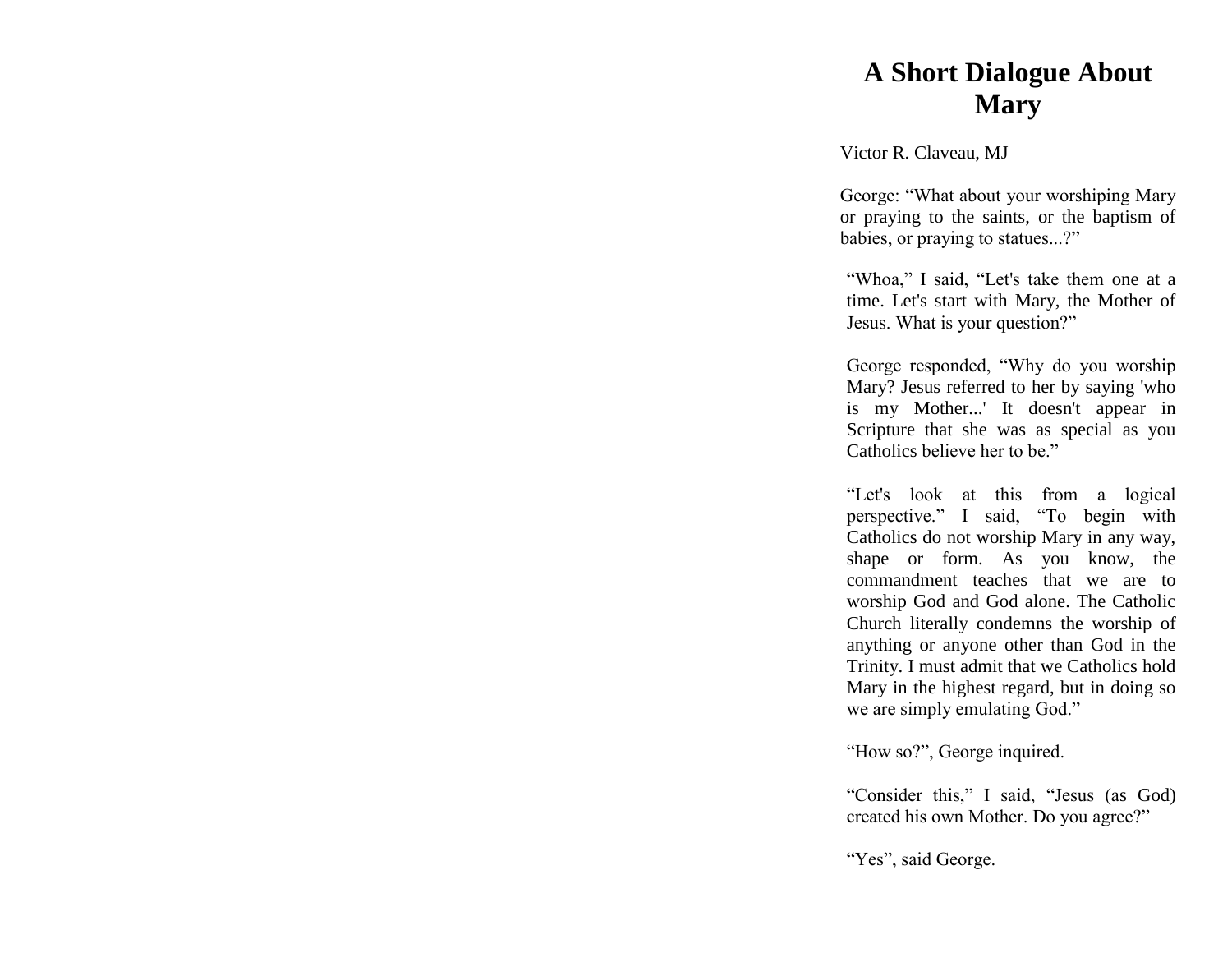## **A Short Dialogue About Mary**

Victor R. Claveau, MJ

George: "What about your worshiping Mary or praying to the saints, or the baptism of babies, or praying to statues...?"

"Whoa," I said, "Let's take them one at a time. Let's start with Mary, the Mother of Jesus. What is your question?"

George responded, "Why do you worship Mary? Jesus referred to her by saying 'who is my Mother...' It doesn't appear in Scripture that she was as special as you Catholics believe her to be."

"Let's look at this from a logical perspective." I said, "To begin with Catholics do not worship Mary in any way, shape or form. As you know, the commandment teaches that we are to worship God and God alone. The Catholic Church literally condemns the worship of anything or anyone other than God in the Trinity. I must admit that we Catholics hold Mary in the highest regard, but in doing so we are simply emulating God."

"How so?", George inquired.

"Consider this," I said, "Jesus (as God) created his own Mother. Do you agree?"

"Yes", said George.